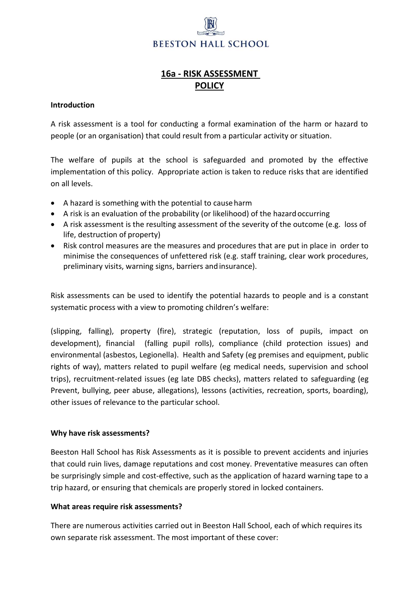# **BEESTON HALL SCHOOL**

## **16a - RISK ASSESSMENT POLICY**

#### **Introduction**

A risk assessment is a tool for conducting a formal examination of the harm or hazard to people (or an organisation) that could result from a particular activity or situation.

The welfare of pupils at the school is safeguarded and promoted by the effective implementation of this policy. Appropriate action is taken to reduce risks that are identified on all levels.

- A hazard is something with the potential to causeharm
- A risk is an evaluation of the probability (or likelihood) of the hazard occurring
- A risk assessment is the resulting assessment of the severity of the outcome (e.g. loss of life, destruction of property)
- Risk control measures are the measures and procedures that are put in place in order to minimise the consequences of unfettered risk (e.g. staff training, clear work procedures, preliminary visits, warning signs, barriers andinsurance).

Risk assessments can be used to identify the potential hazards to people and is a constant systematic process with a view to promoting children's welfare:

(slipping, falling), property (fire), strategic (reputation, loss of pupils, impact on development), financial (falling pupil rolls), compliance (child protection issues) and environmental (asbestos, Legionella). Health and Safety (eg premises and equipment, public rights of way), matters related to pupil welfare (eg medical needs, supervision and school trips), recruitment-related issues (eg late DBS checks), matters related to safeguarding (eg Prevent, bullying, peer abuse, allegations), lessons (activities, recreation, sports, boarding), other issues of relevance to the particular school.

#### **Why have risk assessments?**

Beeston Hall School has Risk Assessments as it is possible to prevent accidents and injuries that could ruin lives, damage reputations and cost money. Preventative measures can often be surprisingly simple and cost-effective, such as the application of hazard warning tape to a trip hazard, or ensuring that chemicals are properly stored in locked containers.

#### **What areas require risk assessments?**

There are numerous activities carried out in Beeston Hall School, each of which requires its own separate risk assessment. The most important of these cover: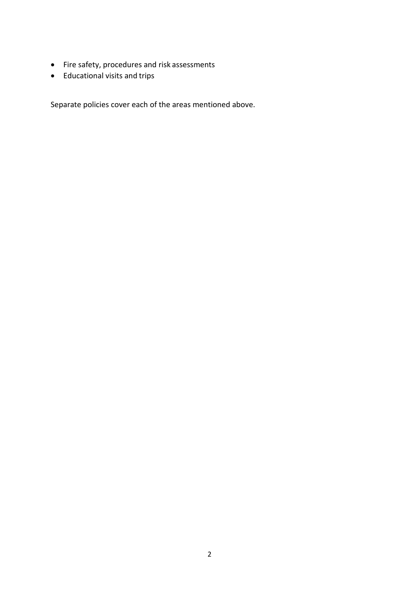- Fire safety, procedures and risk assessments
- Educational visits and trips

Separate policies cover each of the areas mentioned above.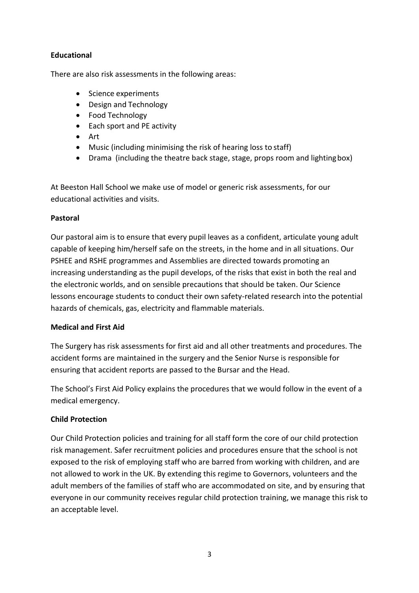#### **Educational**

There are also risk assessments in the following areas:

- Science experiments
- Design and Technology
- Food Technology
- Each sport and PE activity
- Art
- Music (including minimising the risk of hearing loss to staff)
- Drama (including the theatre back stage, stage, props room and lightingbox)

At Beeston Hall School we make use of model or generic risk assessments, for our educational activities and visits.

#### **Pastoral**

Our pastoral aim is to ensure that every pupil leaves as a confident, articulate young adult capable of keeping him/herself safe on the streets, in the home and in all situations. Our PSHEE and RSHE programmes and Assemblies are directed towards promoting an increasing understanding as the pupil develops, of the risks that exist in both the real and the electronic worlds, and on sensible precautions that should be taken. Our Science lessons encourage students to conduct their own safety-related research into the potential hazards of chemicals, gas, electricity and flammable materials.

#### **Medical and First Aid**

The Surgery has risk assessments for first aid and all other treatments and procedures. The accident forms are maintained in the surgery and the Senior Nurse is responsible for ensuring that accident reports are passed to the Bursar and the Head.

The School's First Aid Policy explains the procedures that we would follow in the event of a medical emergency.

#### **Child Protection**

Our Child Protection policies and training for all staff form the core of our child protection risk management. Safer recruitment policies and procedures ensure that the school is not exposed to the risk of employing staff who are barred from working with children, and are not allowed to work in the UK. By extending this regime to Governors, volunteers and the adult members of the families of staff who are accommodated on site, and by ensuring that everyone in our community receives regular child protection training, we manage this risk to an acceptable level.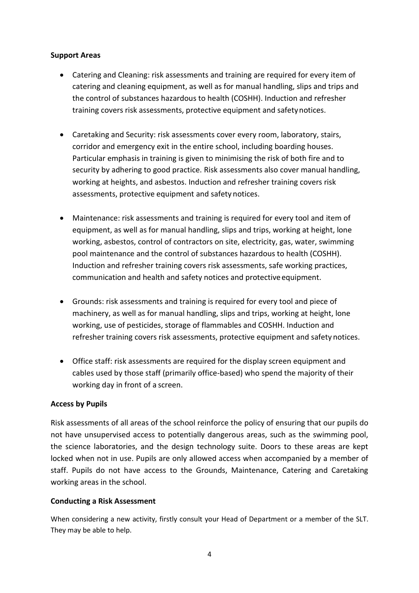#### **Support Areas**

- Catering and Cleaning: risk assessments and training are required for every item of catering and cleaning equipment, as well as for manual handling, slips and trips and the control of substances hazardous to health (COSHH). Induction and refresher training covers risk assessments, protective equipment and safetynotices.
- Caretaking and Security: risk assessments cover every room, laboratory, stairs, corridor and emergency exit in the entire school, including boarding houses. Particular emphasis in training is given to minimising the risk of both fire and to security by adhering to good practice. Risk assessments also cover manual handling, working at heights, and asbestos. Induction and refresher training covers risk assessments, protective equipment and safety notices.
- Maintenance: risk assessments and training is required for every tool and item of equipment, as well as for manual handling, slips and trips, working at height, lone working, asbestos, control of contractors on site, electricity, gas, water, swimming pool maintenance and the control of substances hazardous to health (COSHH). Induction and refresher training covers risk assessments, safe working practices, communication and health and safety notices and protective equipment.
- Grounds: risk assessments and training is required for every tool and piece of machinery, as well as for manual handling, slips and trips, working at height, lone working, use of pesticides, storage of flammables and COSHH. Induction and refresher training covers risk assessments, protective equipment and safety notices.
- Office staff: risk assessments are required for the display screen equipment and cables used by those staff (primarily office-based) who spend the majority of their working day in front of a screen.

#### **Access by Pupils**

Risk assessments of all areas of the school reinforce the policy of ensuring that our pupils do not have unsupervised access to potentially dangerous areas, such as the swimming pool, the science laboratories, and the design technology suite. Doors to these areas are kept locked when not in use. Pupils are only allowed access when accompanied by a member of staff. Pupils do not have access to the Grounds, Maintenance, Catering and Caretaking working areas in the school.

#### **Conducting a Risk Assessment**

When considering a new activity, firstly consult your Head of Department or a member of the SLT. They may be able to help.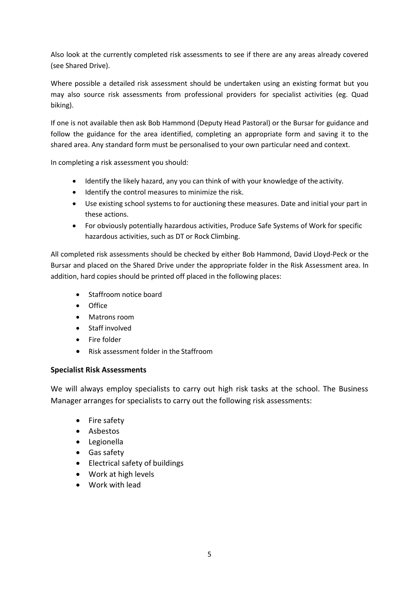Also look at the currently completed risk assessments to see if there are any areas already covered (see Shared Drive).

Where possible a detailed risk assessment should be undertaken using an existing format but you may also source risk assessments from professional providers for specialist activities (eg. Quad biking).

If one is not available then ask Bob Hammond (Deputy Head Pastoral) or the Bursar for guidance and follow the guidance for the area identified, completing an appropriate form and saving it to the shared area. Any standard form must be personalised to your own particular need and context.

In completing a risk assessment you should:

- Identify the likely hazard, any you can think of with your knowledge of the activity.
- Identify the control measures to minimize the risk.
- Use existing school systems to for auctioning these measures. Date and initial your part in these actions.
- For obviously potentially hazardous activities, Produce Safe Systems of Work for specific hazardous activities, such as DT or Rock Climbing.

All completed risk assessments should be checked by either Bob Hammond, David Lloyd-Peck or the Bursar and placed on the Shared Drive under the appropriate folder in the Risk Assessment area. In addition, hard copies should be printed off placed in the following places:

- Staffroom notice board
- Office
- Matrons room
- Staff involved
- Fire folder
- Risk assessment folder in the Staffroom

#### **Specialist Risk Assessments**

We will always employ specialists to carry out high risk tasks at the school. The Business Manager arranges for specialists to carry out the following risk assessments:

- Fire safety
- Asbestos
- Legionella
- Gas safety
- Electrical safety of buildings
- Work at high levels
- Work with lead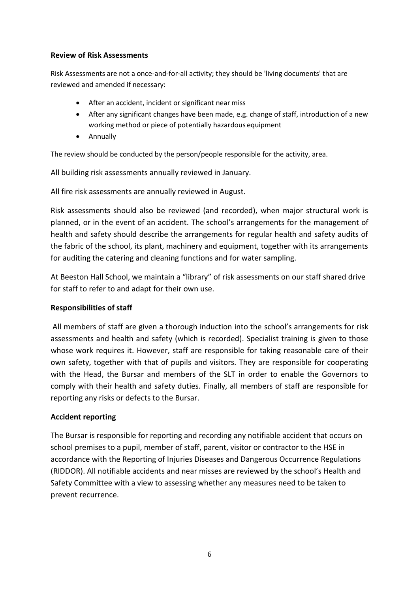#### **Review of Risk Assessments**

Risk Assessments are not a once-and-for-all activity; they should be 'living documents' that are reviewed and amended if necessary:

- After an accident, incident or significant near miss
- After any significant changes have been made, e.g. change of staff, introduction of a new working method or piece of potentially hazardous equipment
- Annually

The review should be conducted by the person/people responsible for the activity, area.

All building risk assessments annually reviewed in January.

All fire risk assessments are annually reviewed in August.

Risk assessments should also be reviewed (and recorded), when major structural work is planned, or in the event of an accident. The school's arrangements for the management of health and safety should describe the arrangements for regular health and safety audits of the fabric of the school, its plant, machinery and equipment, together with its arrangements for auditing the catering and cleaning functions and for water sampling.

At Beeston Hall School, we maintain a "library" of risk assessments on our staff shared drive for staff to refer to and adapt for their own use.

#### **Responsibilities of staff**

All members of staff are given a thorough induction into the school's arrangements for risk assessments and health and safety (which is recorded). Specialist training is given to those whose work requires it. However, staff are responsible for taking reasonable care of their own safety, together with that of pupils and visitors. They are responsible for cooperating with the Head, the Bursar and members of the SLT in order to enable the Governors to comply with their health and safety duties. Finally, all members of staff are responsible for reporting any risks or defects to the Bursar.

#### **Accident reporting**

The Bursar is responsible for reporting and recording any notifiable accident that occurs on school premises to a pupil, member of staff, parent, visitor or contractor to the HSE in accordance with the Reporting of Injuries Diseases and Dangerous Occurrence Regulations (RIDDOR). All notifiable accidents and near misses are reviewed by the school's Health and Safety Committee with a view to assessing whether any measures need to be taken to prevent recurrence.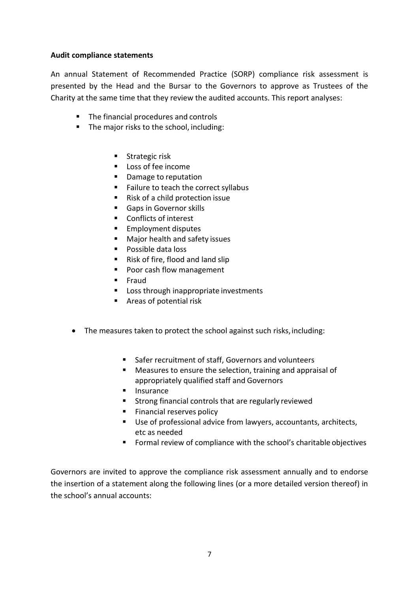#### **Audit compliance statements**

An annual Statement of Recommended Practice (SORP) compliance risk assessment is presented by the Head and the Bursar to the Governors to approve as Trustees of the Charity at the same time that they review the audited accounts. This report analyses:

- The financial procedures and controls
- The major risks to the school, including:
	- Strategic risk
	- Loss of fee income
	- Damage to reputation
	- Failure to teach the correct syllabus
	- Risk of a child protection issue
	- Gaps in Governor skills
	- Conflicts of interest
	- Employment disputes
	- Major health and safety issues
	- Possible data loss
	- Risk of fire, flood and land slip
	- Poor cash flow management
	- Fraud
	- Loss through inappropriate investments
	- Areas of potential risk
- The measures taken to protect the school against such risks, including:
	- Safer recruitment of staff, Governors and volunteers
	- Measures to ensure the selection, training and appraisal of appropriately qualified staff and Governors
	- Insurance
	- Strong financial controls that are regularly reviewed
	- Financial reserves policy
	- Use of professional advice from lawyers, accountants, architects, etc as needed
	- Formal review of compliance with the school's charitable objectives

Governors are invited to approve the compliance risk assessment annually and to endorse the insertion of a statement along the following lines (or a more detailed version thereof) in the school's annual accounts: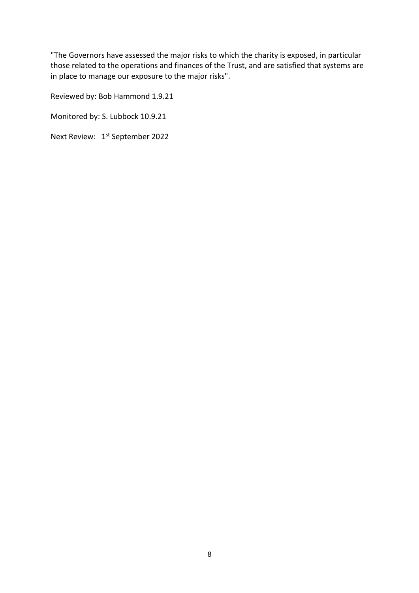"The Governors have assessed the major risks to which the charity is exposed, in particular those related to the operations and finances of the Trust, and are satisfied that systems are in place to manage our exposure to the major risks".

Reviewed by: Bob Hammond 1.9.21

Monitored by: S. Lubbock 10.9.21

Next Review: 1<sup>st</sup> September 2022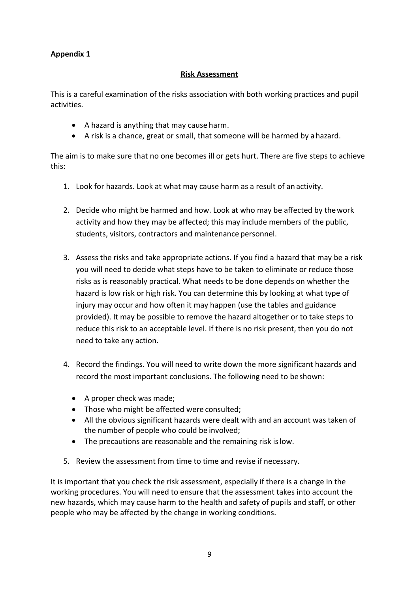#### **Appendix 1**

#### **Risk Assessment**

This is a careful examination of the risks association with both working practices and pupil activities.

- A hazard is anything that may cause harm.
- A risk is a chance, great or small, that someone will be harmed by ahazard.

The aim is to make sure that no one becomes ill or gets hurt. There are five steps to achieve this:

- 1. Look for hazards. Look at what may cause harm as a result of an activity.
- 2. Decide who might be harmed and how. Look at who may be affected by thework activity and how they may be affected; this may include members of the public, students, visitors, contractors and maintenance personnel.
- 3. Assess the risks and take appropriate actions. If you find a hazard that may be a risk you will need to decide what steps have to be taken to eliminate or reduce those risks as is reasonably practical. What needs to be done depends on whether the hazard is low risk or high risk. You can determine this by looking at what type of injury may occur and how often it may happen (use the tables and guidance provided). It may be possible to remove the hazard altogether or to take steps to reduce this risk to an acceptable level. If there is no risk present, then you do not need to take any action.
- 4. Record the findings. You will need to write down the more significant hazards and record the most important conclusions. The following need to beshown:
	- A proper check was made;
	- Those who might be affected were consulted;
	- All the obvious significant hazards were dealt with and an account was taken of the number of people who could be involved;
	- The precautions are reasonable and the remaining risk islow.
- 5. Review the assessment from time to time and revise if necessary.

It is important that you check the risk assessment, especially if there is a change in the working procedures. You will need to ensure that the assessment takes into account the new hazards, which may cause harm to the health and safety of pupils and staff, or other people who may be affected by the change in working conditions.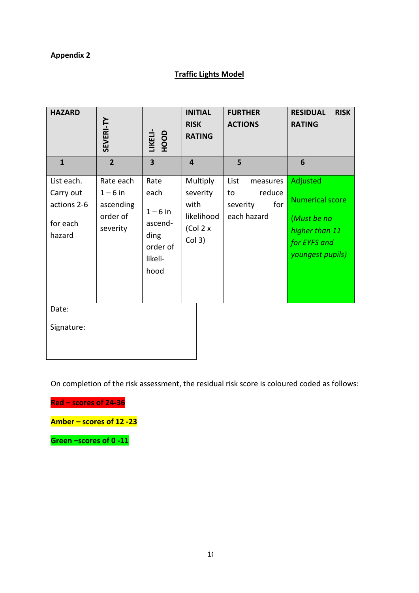## **Appendix 2**

## **Traffic Lights Model**

| <b>HAZARD</b>                                                | SEVERI-TY                                                  | LIKELI-<br>HOOD                                                            | <b>INITIAL</b><br><b>RISK</b><br><b>RATING</b>                    | <b>FURTHER</b><br><b>ACTIONS</b>                                   | <b>RESIDUAL</b><br><b>RISK</b><br><b>RATING</b>                                                         |  |
|--------------------------------------------------------------|------------------------------------------------------------|----------------------------------------------------------------------------|-------------------------------------------------------------------|--------------------------------------------------------------------|---------------------------------------------------------------------------------------------------------|--|
| $\mathbf{1}$                                                 | $\overline{2}$                                             | $\overline{\mathbf{3}}$                                                    | $\overline{\mathbf{4}}$                                           | 5                                                                  | 6                                                                                                       |  |
| List each.<br>Carry out<br>actions 2-6<br>for each<br>hazard | Rate each<br>$1-6$ in<br>ascending<br>order of<br>severity | Rate<br>each<br>$1-6$ in<br>ascend-<br>ding<br>order of<br>likeli-<br>hood | Multiply<br>severity<br>with<br>likelihood<br>(Col 2 x)<br>Col 3) | List<br>measures<br>reduce<br>to<br>for<br>severity<br>each hazard | Adjusted<br><b>Numerical score</b><br>(Must be no<br>higher than 11<br>for EYFS and<br>youngest pupils) |  |
| Date:<br>Signature:                                          |                                                            |                                                                            |                                                                   |                                                                    |                                                                                                         |  |

On completion of the risk assessment, the residual risk score is coloured coded as follows:

**Red – scores of 24-36**

**Amber – scores of 12 -23**

**Green –scores of 0 -11**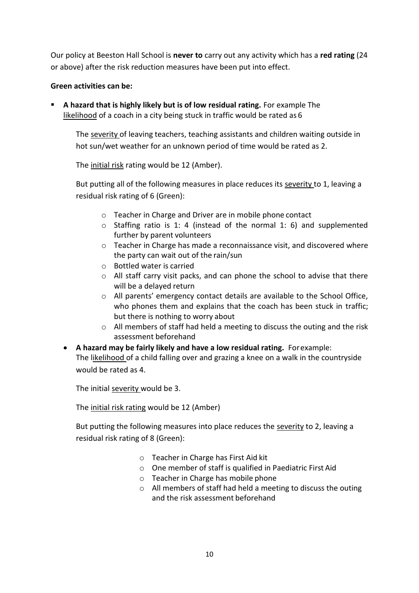Our policy at Beeston Hall School is **never to** carry out any activity which has a **red rating** (24 or above) after the risk reduction measures have been put into effect.

#### **Green activities can be:**

**EXTED A hazard that is highly likely but is of low residual rating.** For example The likelihood of a coach in a city being stuck in traffic would be rated as 6

The severity of leaving teachers, teaching assistants and children waiting outside in hot sun/wet weather for an unknown period of time would be rated as 2.

The initial risk rating would be 12 (Amber).

But putting all of the following measures in place reduces its severity to 1, leaving a residual risk rating of 6 (Green):

- o Teacher in Charge and Driver are in mobile phone contact
- $\circ$  Staffing ratio is 1: 4 (instead of the normal 1: 6) and supplemented further by parent volunteers
- $\circ$  Teacher in Charge has made a reconnaissance visit, and discovered where the party can wait out of the rain/sun
- o Bottled water is carried
- $\circ$  All staff carry visit packs, and can phone the school to advise that there will be a delayed return
- o All parents' emergency contact details are available to the School Office, who phones them and explains that the coach has been stuck in traffic; but there is nothing to worry about
- o All members of staff had held a meeting to discuss the outing and the risk assessment beforehand
- **A hazard may be fairly likely and have a low residual rating.** Forexample: The likelihood of a child falling over and grazing a knee on a walk in the countryside would be rated as 4.

The initial severity would be 3.

The initial risk rating would be 12 (Amber)

But putting the following measures into place reduces the severity to 2, leaving a residual risk rating of 8 (Green):

- o Teacher in Charge has First Aid kit
- o One member of staff is qualified in Paediatric First Aid
- o Teacher in Charge has mobile phone
- o All members of staff had held a meeting to discuss the outing and the risk assessment beforehand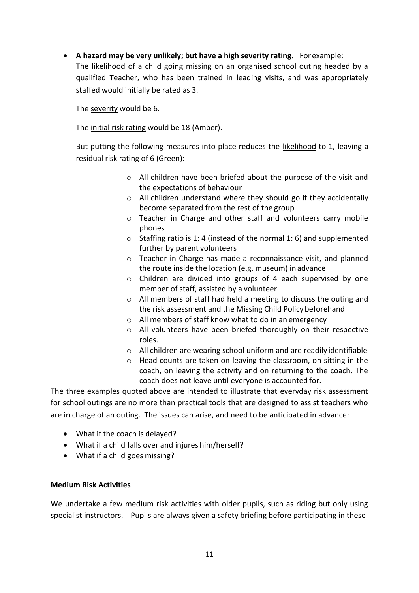• **A hazard may be very unlikely; but have a high severity rating.** For example: The likelihood of a child going missing on an organised school outing headed by a qualified Teacher, who has been trained in leading visits, and was appropriately staffed would initially be rated as 3.

The severity would be 6.

The initial risk rating would be 18 (Amber).

But putting the following measures into place reduces the likelihood to 1, leaving a residual risk rating of 6 (Green):

- o All children have been briefed about the purpose of the visit and the expectations of behaviour
- o All children understand where they should go if they accidentally become separated from the rest of the group
- o Teacher in Charge and other staff and volunteers carry mobile phones
- $\circ$  Staffing ratio is 1:4 (instead of the normal 1:6) and supplemented further by parent volunteers
- o Teacher in Charge has made a reconnaissance visit, and planned the route inside the location (e.g. museum) in advance
- o Children are divided into groups of 4 each supervised by one member of staff, assisted by a volunteer
- o All members of staff had held a meeting to discuss the outing and the risk assessment and the Missing Child Policy beforehand
- o All members of staff know what to do in an emergency
- o All volunteers have been briefed thoroughly on their respective roles.
- o All children are wearing school uniform and are readily identifiable
- o Head counts are taken on leaving the classroom, on sitting in the coach, on leaving the activity and on returning to the coach. The coach does not leave until everyone is accounted for.

The three examples quoted above are intended to illustrate that everyday risk assessment for school outings are no more than practical tools that are designed to assist teachers who are in charge of an outing. The issues can arise, and need to be anticipated in advance:

- What if the coach is delayed?
- What if a child falls over and injures him/herself?
- What if a child goes missing?

#### **Medium Risk Activities**

We undertake a few medium risk activities with older pupils, such as riding but only using specialist instructors. Pupils are always given a safety briefing before participating in these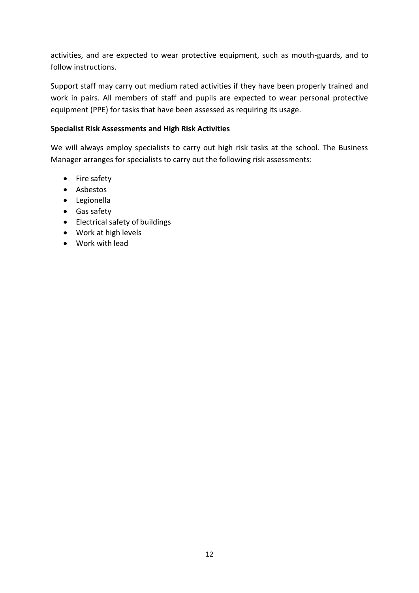activities, and are expected to wear protective equipment, such as mouth-guards, and to follow instructions.

Support staff may carry out medium rated activities if they have been properly trained and work in pairs. All members of staff and pupils are expected to wear personal protective equipment (PPE) for tasks that have been assessed as requiring its usage.

#### **Specialist Risk Assessments and High Risk Activities**

We will always employ specialists to carry out high risk tasks at the school. The Business Manager arranges for specialists to carry out the following risk assessments:

- Fire safety
- Asbestos
- Legionella
- Gas safety
- Electrical safety of buildings
- Work at high levels
- Work with lead